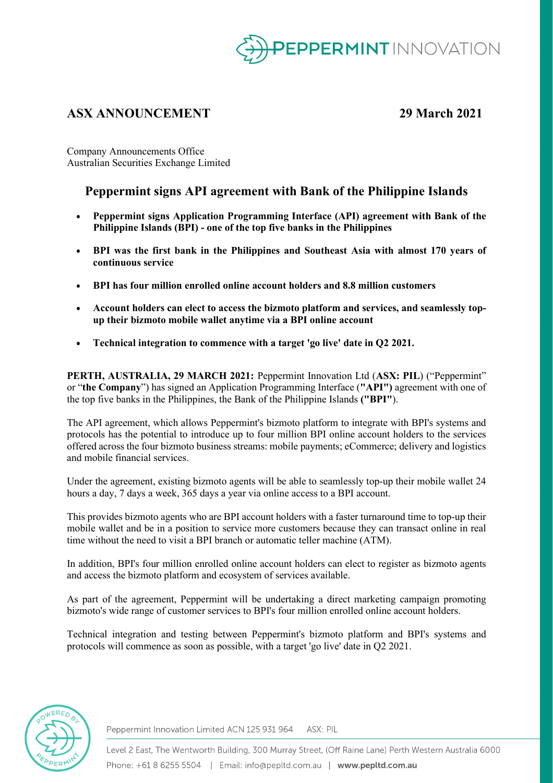

# **ASX ANNOUNCEMENT 29 March 2021**

Company Announcements Office Australian Securities Exchange Limited

## **Peppermint signs API agreement with Bank of the Philippine Islands**

- **Peppermint signs Application Programming Interface (API) agreement with Bank of the Philippine Islands (BPI) - one of the top five banks in the Philippines**
- **BPI was the first bank in the Philippines and Southeast Asia with almost 170 years of continuous service**
- **BPI has four million enrolled online account holders and 8.8 million customers**
- **Account holders can elect to access the bizmoto platform and services, and seamlessly topup their bizmoto mobile wallet anytime via a BPI online account**
- **Technical integration to commence with a target 'go live' date in Q2 2021.**

**PERTH, AUSTRALIA, 29 MARCH 2021:** Peppermint Innovation Ltd (**ASX: PIL**) ("Peppermint" or "**the Company**") has signed an Application Programming Interface (**"API")** agreement with one of the top five banks in the Philippines, the Bank of the Philippine Islands **("BPI"**).

The API agreement, which allows Peppermint's bizmoto platform to integrate with BPI's systems and protocols has the potential to introduce up to four million BPI online account holders to the services offered across the four bizmoto business streams: mobile payments; eCommerce; delivery and logistics and mobile financial services.

Under the agreement, existing bizmoto agents will be able to seamlessly top-up their mobile wallet 24 hours a day, 7 days a week, 365 days a year via online access to a BPI account.

This provides bizmoto agents who are BPI account holders with a faster turnaround time to top-up their mobile wallet and be in a position to service more customers because they can transact online in real time without the need to visit a BPI branch or automatic teller machine (ATM).

In addition, BPI's four million enrolled online account holders can elect to register as bizmoto agents and access the bizmoto platform and ecosystem of services available.

As part of the agreement, Peppermint will be undertaking a direct marketing campaign promoting bizmoto's wide range of customer services to BPI's four million enrolled online account holders.

Technical integration and testing between Peppermint's bizmoto platform and BPI's systems and protocols will commence as soon as possible, with a target 'go live' date in Q2 2021.



Peppermint Innovation Limited ACN 125 931 964 ASX: PIL